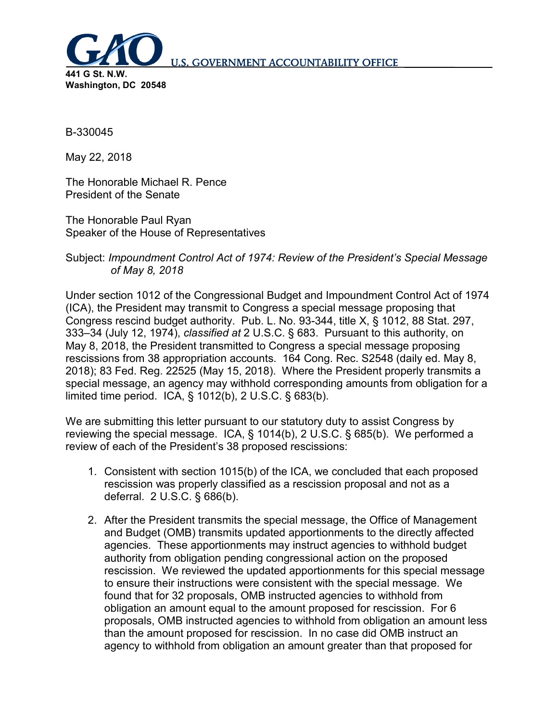

B-330045

May 22, 2018

The Honorable Michael R. Pence President of the Senate

The Honorable Paul Ryan Speaker of the House of Representatives

# Subject: *Impoundment Control Act of 1974: Review of the President's Special Message of May 8, 2018*

Under section 1012 of the Congressional Budget and Impoundment Control Act of 1974 (ICA), the President may transmit to Congress a special message proposing that Congress rescind budget authority. Pub. L. No. 93-344, title X, § 1012, 88 Stat. 297, 333–34 (July 12, 1974), *classified at* 2 U.S.C. § 683. Pursuant to this authority, on May 8, 2018, the President transmitted to Congress a special message proposing rescissions from 38 appropriation accounts. 164 Cong. Rec. S2548 (daily ed. May 8, 2018); 83 Fed. Reg. 22525 (May 15, 2018). Where the President properly transmits a special message, an agency may withhold corresponding amounts from obligation for a limited time period. ICA, § 1012(b), 2 U.S.C. § 683(b).

We are submitting this letter pursuant to our statutory duty to assist Congress by reviewing the special message. ICA, § 1014(b), 2 U.S.C. § 685(b). We performed a review of each of the President's 38 proposed rescissions:

- 1. Consistent with section 1015(b) of the ICA, we concluded that each proposed rescission was properly classified as a rescission proposal and not as a deferral. 2 U.S.C. § 686(b).
- 2. After the President transmits the special message, the Office of Management and Budget (OMB) transmits updated apportionments to the directly affected agencies. These apportionments may instruct agencies to withhold budget authority from obligation pending congressional action on the proposed rescission. We reviewed the updated apportionments for this special message to ensure their instructions were consistent with the special message. We found that for 32 proposals, OMB instructed agencies to withhold from obligation an amount equal to the amount proposed for rescission. For 6 proposals, OMB instructed agencies to withhold from obligation an amount less than the amount proposed for rescission. In no case did OMB instruct an agency to withhold from obligation an amount greater than that proposed for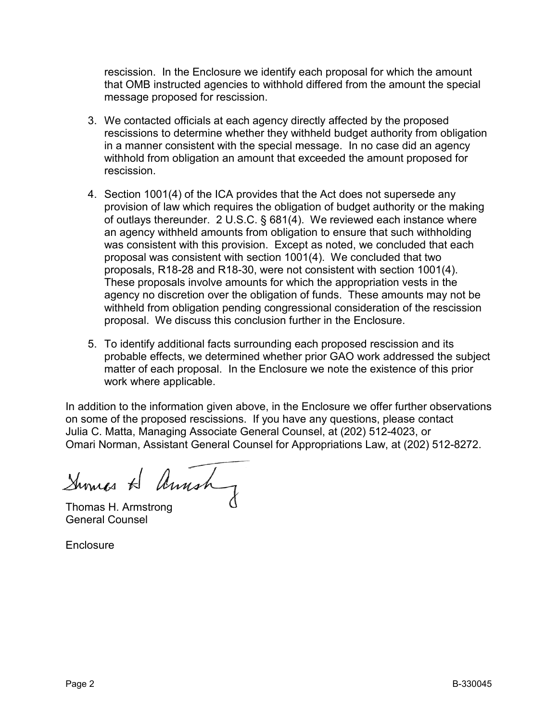rescission. In the Enclosure we identify each proposal for which the amount that OMB instructed agencies to withhold differed from the amount the special message proposed for rescission.

- 3. We contacted officials at each agency directly affected by the proposed rescissions to determine whether they withheld budget authority from obligation in a manner consistent with the special message. In no case did an agency withhold from obligation an amount that exceeded the amount proposed for rescission.
- 4. Section 1001(4) of the ICA provides that the Act does not supersede any provision of law which requires the obligation of budget authority or the making of outlays thereunder. 2 U.S.C. § 681(4). We reviewed each instance where an agency withheld amounts from obligation to ensure that such withholding was consistent with this provision. Except as noted, we concluded that each proposal was consistent with section 1001(4). We concluded that two proposals, R18-28 and R18-30, were not consistent with section 1001(4). These proposals involve amounts for which the appropriation vests in the agency no discretion over the obligation of funds. These amounts may not be withheld from obligation pending congressional consideration of the rescission proposal. We discuss this conclusion further in the Enclosure.
- 5. To identify additional facts surrounding each proposed rescission and its probable effects, we determined whether prior GAO work addressed the subject matter of each proposal. In the Enclosure we note the existence of this prior work where applicable.

In addition to the information given above, in the Enclosure we offer further observations on some of the proposed rescissions. If you have any questions, please contact Julia C. Matta, Managing Associate General Counsel, at (202) 512-4023, or Omari Norman, Assistant General Counsel for Appropriations Law, at (202) 512-8272.

Sumes H Amsh

Thomas H. Armstrong General Counsel

**Enclosure**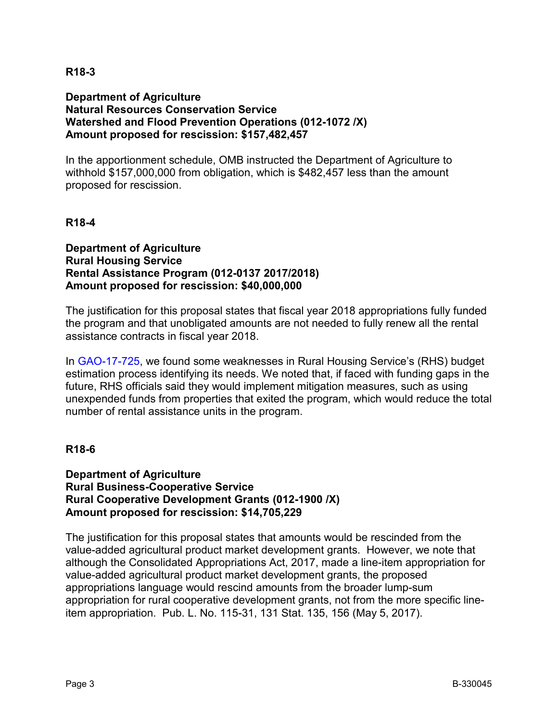## **Department of Agriculture Natural Resources Conservation Service Watershed and Flood Prevention Operations (012-1072 /X) Amount proposed for rescission: \$157,482,457**

In the apportionment schedule, OMB instructed the Department of Agriculture to withhold \$157,000,000 from obligation, which is \$482,457 less than the amount proposed for rescission.

### **R18-4**

**Department of Agriculture Rural Housing Service Rental Assistance Program (012-0137 2017/2018) Amount proposed for rescission: \$40,000,000**

The justification for this proposal states that fiscal year 2018 appropriations fully funded the program and that unobligated amounts are not needed to fully renew all the rental assistance contracts in fiscal year 2018.

In [GAO-17-725,](https://www.gao.gov/assets/690/687124.pdf) we found some weaknesses in Rural Housing Service's (RHS) budget estimation process identifying its needs. We noted that, if faced with funding gaps in the future, RHS officials said they would implement mitigation measures, such as using unexpended funds from properties that exited the program, which would reduce the total number of rental assistance units in the program.

#### **R18-6**

### **Department of Agriculture Rural Business-Cooperative Service Rural Cooperative Development Grants (012-1900 /X) Amount proposed for rescission: \$14,705,229**

The justification for this proposal states that amounts would be rescinded from the value-added agricultural product market development grants. However, we note that although the Consolidated Appropriations Act, 2017, made a line-item appropriation for value-added agricultural product market development grants, the proposed appropriations language would rescind amounts from the broader lump-sum appropriation for rural cooperative development grants, not from the more specific lineitem appropriation. Pub. L. No. 115-31, 131 Stat. 135, 156 (May 5, 2017).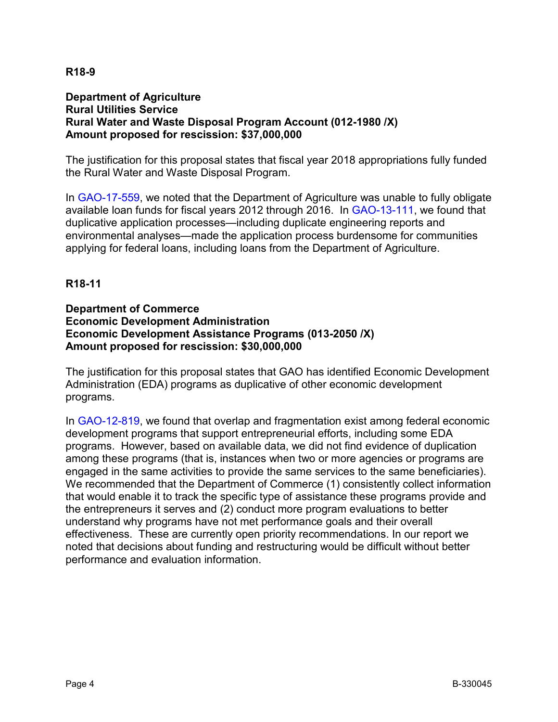## **Department of Agriculture Rural Utilities Service Rural Water and Waste Disposal Program Account (012-1980 /X) Amount proposed for rescission: \$37,000,000**

The justification for this proposal states that fiscal year 2018 appropriations fully funded the Rural Water and Waste Disposal Program.

In [GAO-17-559,](https://www.gao.gov/assets/690/687261.pdf) we noted that the Department of Agriculture was unable to fully obligate available loan funds for fiscal years 2012 through 2016. In [GAO-13-111,](https://www.gao.gov/assets/650/649553.pdf) we found that duplicative application processes—including duplicate engineering reports and environmental analyses—made the application process burdensome for communities applying for federal loans, including loans from the Department of Agriculture.

## **R18-11**

### **Department of Commerce Economic Development Administration Economic Development Assistance Programs (013-2050 /X) Amount proposed for rescission: \$30,000,000**

The justification for this proposal states that GAO has identified Economic Development Administration (EDA) programs as duplicative of other economic development programs.

In [GAO-12-819,](https://www.gao.gov/assets/650/647267.pdf) we found that overlap and fragmentation exist among federal economic development programs that support entrepreneurial efforts, including some EDA programs. However, based on available data, we did not find evidence of duplication among these programs (that is, instances when two or more agencies or programs are engaged in the same activities to provide the same services to the same beneficiaries). We recommended that the Department of Commerce (1) consistently collect information that would enable it to track the specific type of assistance these programs provide and the entrepreneurs it serves and (2) conduct more program evaluations to better understand why programs have not met performance goals and their overall effectiveness. These are currently open priority recommendations. In our report we noted that decisions about funding and restructuring would be difficult without better performance and evaluation information.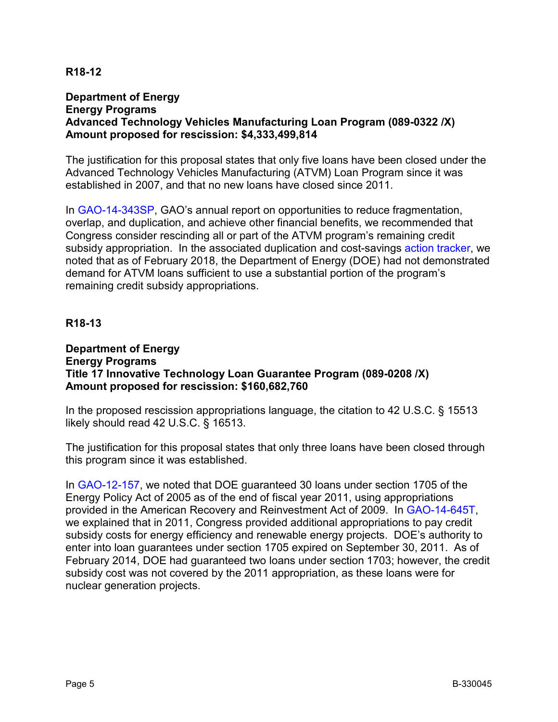### **Department of Energy Energy Programs Advanced Technology Vehicles Manufacturing Loan Program (089-0322 /X) Amount proposed for rescission: \$4,333,499,814**

The justification for this proposal states that only five loans have been closed under the Advanced Technology Vehicles Manufacturing (ATVM) Loan Program since it was established in 2007, and that no new loans have closed since 2011.

In [GAO-14-343SP,](https://www.gao.gov/assets/670/662327.pdf) GAO's annual report on opportunities to reduce fragmentation, overlap, and duplication, and achieve other financial benefits, we recommended that Congress consider rescinding all or part of the ATVM program's remaining credit subsidy appropriation. In the associated duplication and cost-savings [action tracker,](https://www.gao.gov/duplication/action_tracker/Advanced_Technology_Vehicles_Manufacturing_Loan_Program/action1#t=0) we noted that as of February 2018, the Department of Energy (DOE) had not demonstrated demand for ATVM loans sufficient to use a substantial portion of the program's remaining credit subsidy appropriations.

### **R18-13**

#### **Department of Energy Energy Programs Title 17 Innovative Technology Loan Guarantee Program (089-0208 /X) Amount proposed for rescission: \$160,682,760**

In the proposed rescission appropriations language, the citation to 42 U.S.C. § 15513 likely should read 42 U.S.C. § 16513.

The justification for this proposal states that only three loans have been closed through this program since it was established.

In [GAO-12-157,](https://www.gao.gov/assets/590/589210.pdf) we noted that DOE guaranteed 30 loans under section 1705 of the Energy Policy Act of 2005 as of the end of fiscal year 2011, using appropriations provided in the American Recovery and Reinvestment Act of 2009. In [GAO-14-645T,](https://www.gao.gov/assets/670/663707.pdf) we explained that in 2011, Congress provided additional appropriations to pay credit subsidy costs for energy efficiency and renewable energy projects. DOE's authority to enter into loan guarantees under section 1705 expired on September 30, 2011. As of February 2014, DOE had guaranteed two loans under section 1703; however, the credit subsidy cost was not covered by the 2011 appropriation, as these loans were for nuclear generation projects.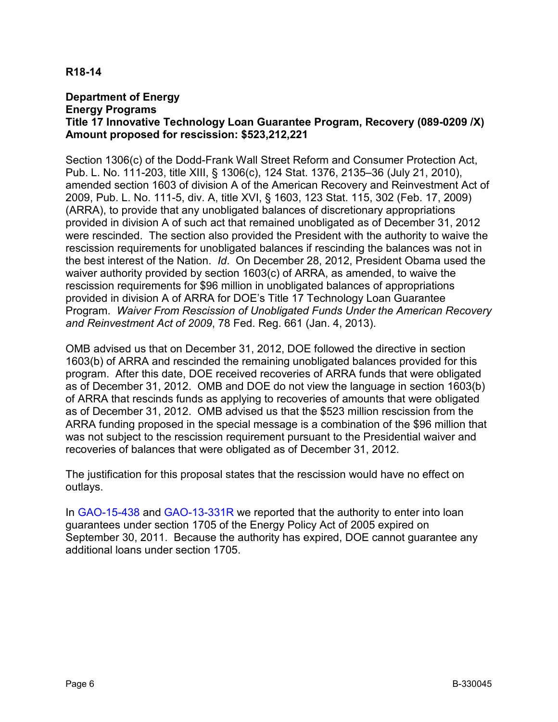### **Department of Energy Energy Programs Title 17 Innovative Technology Loan Guarantee Program, Recovery (089-0209 /X) Amount proposed for rescission: \$523,212,221**

Section 1306(c) of the Dodd-Frank Wall Street Reform and Consumer Protection Act, Pub. L. No. 111-203, title XIII, § 1306(c), 124 Stat. 1376, 2135–36 (July 21, 2010), amended section 1603 of division A of the American Recovery and Reinvestment Act of 2009, Pub. L. No. 111-5, div. A, title XVI, § 1603, 123 Stat. 115, 302 (Feb. 17, 2009) (ARRA), to provide that any unobligated balances of discretionary appropriations provided in division A of such act that remained unobligated as of December 31, 2012 were rescinded. The section also provided the President with the authority to waive the rescission requirements for unobligated balances if rescinding the balances was not in the best interest of the Nation. *Id*. On December 28, 2012, President Obama used the waiver authority provided by section 1603(c) of ARRA, as amended, to waive the rescission requirements for \$96 million in unobligated balances of appropriations provided in division A of ARRA for DOE's Title 17 Technology Loan Guarantee Program. *Waiver From Rescission of Unobligated Funds Under the American Recovery and Reinvestment Act of 2009*, 78 Fed. Reg. 661 (Jan. 4, 2013).

OMB advised us that on December 31, 2012, DOE followed the directive in section 1603(b) of ARRA and rescinded the remaining unobligated balances provided for this program. After this date, DOE received recoveries of ARRA funds that were obligated as of December 31, 2012. OMB and DOE do not view the language in section 1603(b) of ARRA that rescinds funds as applying to recoveries of amounts that were obligated as of December 31, 2012. OMB advised us that the \$523 million rescission from the ARRA funding proposed in the special message is a combination of the \$96 million that was not subject to the rescission requirement pursuant to the Presidential waiver and recoveries of balances that were obligated as of December 31, 2012.

The justification for this proposal states that the rescission would have no effect on outlays.

In [GAO-15-438](https://www.gao.gov/assets/670/669847.pdf) and [GAO-13-331R](https://www.gao.gov/assets/660/653064.pdf) we reported that the authority to enter into loan guarantees under section 1705 of the Energy Policy Act of 2005 expired on September 30, 2011. Because the authority has expired, DOE cannot guarantee any additional loans under section 1705.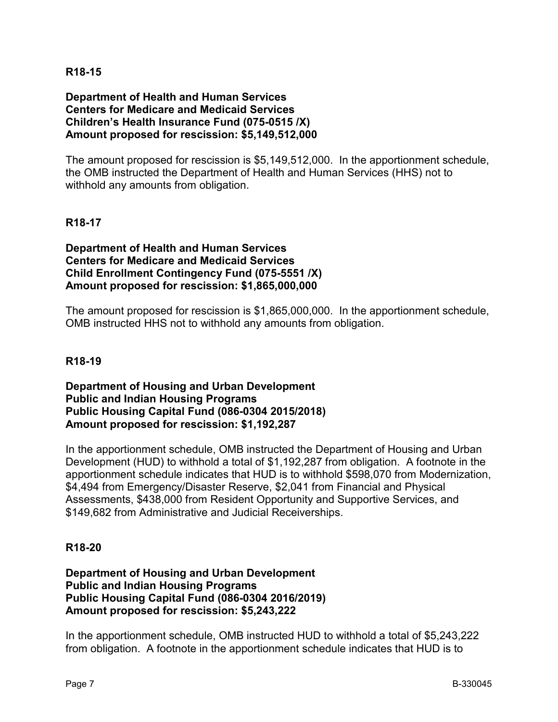### **Department of Health and Human Services Centers for Medicare and Medicaid Services Children's Health Insurance Fund (075-0515 /X) Amount proposed for rescission: \$5,149,512,000**

The amount proposed for rescission is \$5,149,512,000. In the apportionment schedule, the OMB instructed the Department of Health and Human Services (HHS) not to withhold any amounts from obligation.

## **R18-17**

**Department of Health and Human Services Centers for Medicare and Medicaid Services Child Enrollment Contingency Fund (075-5551 /X) Amount proposed for rescission: \$1,865,000,000**

The amount proposed for rescission is \$1,865,000,000. In the apportionment schedule, OMB instructed HHS not to withhold any amounts from obligation.

### **R18-19**

**Department of Housing and Urban Development Public and Indian Housing Programs Public Housing Capital Fund (086-0304 2015/2018) Amount proposed for rescission: \$1,192,287**

In the apportionment schedule, OMB instructed the Department of Housing and Urban Development (HUD) to withhold a total of \$1,192,287 from obligation. A footnote in the apportionment schedule indicates that HUD is to withhold \$598,070 from Modernization, \$4,494 from Emergency/Disaster Reserve, \$2,041 from Financial and Physical Assessments, \$438,000 from Resident Opportunity and Supportive Services, and \$149,682 from Administrative and Judicial Receiverships.

#### **R18-20**

### **Department of Housing and Urban Development Public and Indian Housing Programs Public Housing Capital Fund (086-0304 2016/2019) Amount proposed for rescission: \$5,243,222**

In the apportionment schedule, OMB instructed HUD to withhold a total of \$5,243,222 from obligation. A footnote in the apportionment schedule indicates that HUD is to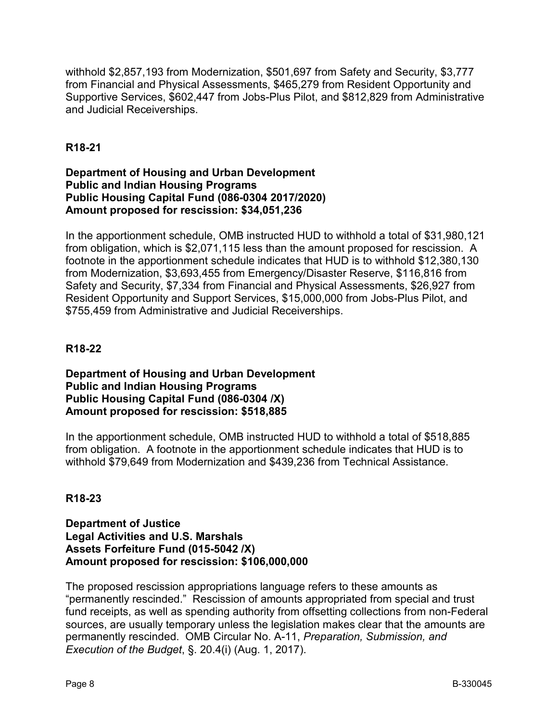withhold \$2,857,193 from Modernization, \$501,697 from Safety and Security, \$3,777 from Financial and Physical Assessments, \$465,279 from Resident Opportunity and Supportive Services, \$602,447 from Jobs-Plus Pilot, and \$812,829 from Administrative and Judicial Receiverships.

# **R18-21**

## **Department of Housing and Urban Development Public and Indian Housing Programs Public Housing Capital Fund (086-0304 2017/2020) Amount proposed for rescission: \$34,051,236**

In the apportionment schedule, OMB instructed HUD to withhold a total of \$31,980,121 from obligation, which is \$2,071,115 less than the amount proposed for rescission. A footnote in the apportionment schedule indicates that HUD is to withhold \$12,380,130 from Modernization, \$3,693,455 from Emergency/Disaster Reserve, \$116,816 from Safety and Security, \$7,334 from Financial and Physical Assessments, \$26,927 from Resident Opportunity and Support Services, \$15,000,000 from Jobs-Plus Pilot, and \$755,459 from Administrative and Judicial Receiverships.

# **R18-22**

### **Department of Housing and Urban Development Public and Indian Housing Programs Public Housing Capital Fund (086-0304 /X) Amount proposed for rescission: \$518,885**

In the apportionment schedule, OMB instructed HUD to withhold a total of \$518,885 from obligation. A footnote in the apportionment schedule indicates that HUD is to withhold \$79,649 from Modernization and \$439,236 from Technical Assistance.

## **R18-23**

### **Department of Justice Legal Activities and U.S. Marshals Assets Forfeiture Fund (015-5042 /X) Amount proposed for rescission: \$106,000,000**

The proposed rescission appropriations language refers to these amounts as "permanently rescinded." Rescission of amounts appropriated from special and trust fund receipts, as well as spending authority from offsetting collections from non-Federal sources, are usually temporary unless the legislation makes clear that the amounts are permanently rescinded. OMB Circular No. A-11, *Preparation, Submission, and Execution of the Budget*, §. 20.4(i) (Aug. 1, 2017).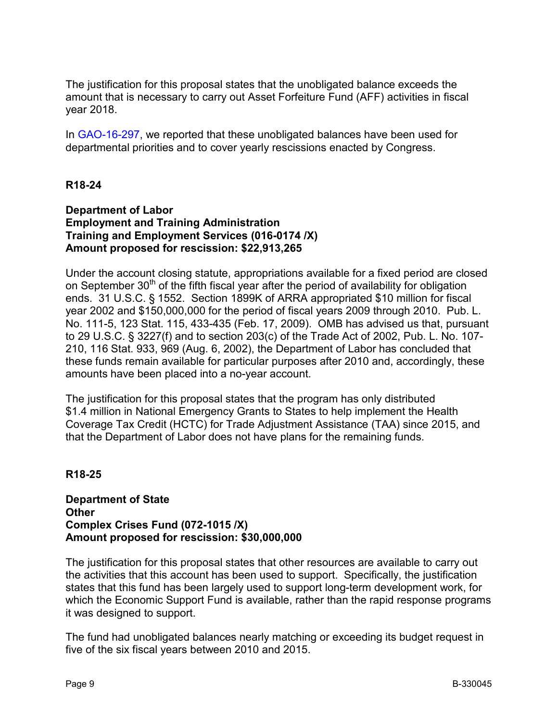The justification for this proposal states that the unobligated balance exceeds the amount that is necessary to carry out Asset Forfeiture Fund (AFF) activities in fiscal year 2018.

In [GAO-16-297,](https://www.gao.gov/assets/680/675987.pdf) we reported that these unobligated balances have been used for departmental priorities and to cover yearly rescissions enacted by Congress.

## **R18-24**

#### **Department of Labor Employment and Training Administration Training and Employment Services (016-0174 /X) Amount proposed for rescission: \$22,913,265**

Under the account closing statute, appropriations available for a fixed period are closed on September  $30<sup>th</sup>$  of the fifth fiscal year after the period of availability for obligation ends. 31 U.S.C. § 1552. Section 1899K of ARRA appropriated \$10 million for fiscal year 2002 and \$150,000,000 for the period of fiscal years 2009 through 2010. Pub. L. No. 111-5, 123 Stat. 115, 433-435 (Feb. 17, 2009). OMB has advised us that, pursuant to 29 U.S.C. § 3227(f) and to section 203(c) of the Trade Act of 2002, Pub. L. No. 107- 210, 116 Stat. 933, 969 (Aug. 6, 2002), the Department of Labor has concluded that these funds remain available for particular purposes after 2010 and, accordingly, these amounts have been placed into a no-year account.

The justification for this proposal states that the program has only distributed \$1.4 million in National Emergency Grants to States to help implement the Health Coverage Tax Credit (HCTC) for Trade Adjustment Assistance (TAA) since 2015, and that the Department of Labor does not have plans for the remaining funds.

#### **R18-25**

### **Department of State Other Complex Crises Fund (072-1015 /X) Amount proposed for rescission: \$30,000,000**

The justification for this proposal states that other resources are available to carry out the activities that this account has been used to support. Specifically, the justification states that this fund has been largely used to support long-term development work, for which the Economic Support Fund is available, rather than the rapid response programs it was designed to support.

The fund had unobligated balances nearly matching or exceeding its budget request in five of the six fiscal years between 2010 and 2015.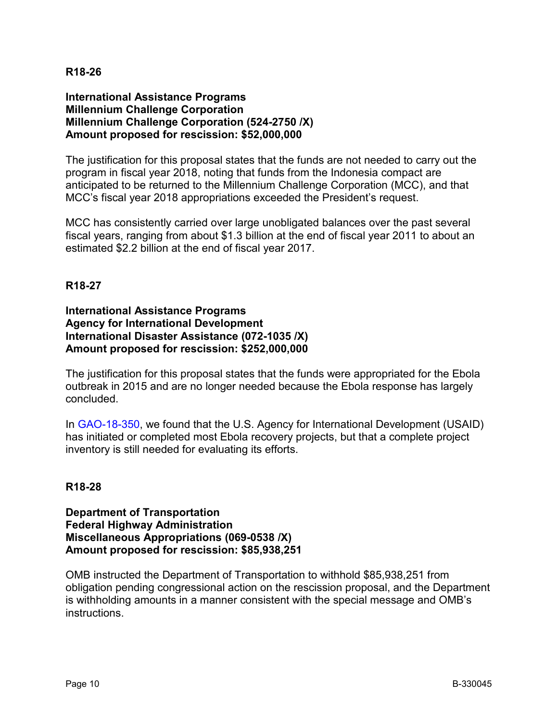### **International Assistance Programs Millennium Challenge Corporation Millennium Challenge Corporation (524-2750 /X) Amount proposed for rescission: \$52,000,000**

The justification for this proposal states that the funds are not needed to carry out the program in fiscal year 2018, noting that funds from the Indonesia compact are anticipated to be returned to the Millennium Challenge Corporation (MCC), and that MCC's fiscal year 2018 appropriations exceeded the President's request.

MCC has consistently carried over large unobligated balances over the past several fiscal years, ranging from about \$1.3 billion at the end of fiscal year 2011 to about an estimated \$2.2 billion at the end of fiscal year 2017.

### **R18-27**

### **International Assistance Programs Agency for International Development International Disaster Assistance (072-1035 /X) Amount proposed for rescission: \$252,000,000**

The justification for this proposal states that the funds were appropriated for the Ebola outbreak in 2015 and are no longer needed because the Ebola response has largely concluded.

In [GAO-18-350,](https://www.gao.gov/assets/700/690921.pdf) we found that the U.S. Agency for International Development (USAID) has initiated or completed most Ebola recovery projects, but that a complete project inventory is still needed for evaluating its efforts.

## **R18-28**

**Department of Transportation Federal Highway Administration Miscellaneous Appropriations (069-0538 /X) Amount proposed for rescission: \$85,938,251**

OMB instructed the Department of Transportation to withhold \$85,938,251 from obligation pending congressional action on the rescission proposal, and the Department is withholding amounts in a manner consistent with the special message and OMB's instructions.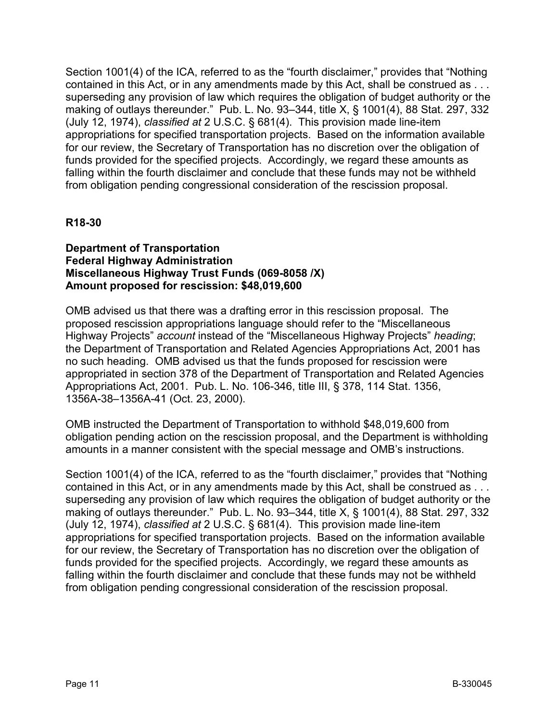Section 1001(4) of the ICA, referred to as the "fourth disclaimer," provides that "Nothing contained in this Act, or in any amendments made by this Act, shall be construed as . . . superseding any provision of law which requires the obligation of budget authority or the making of outlays thereunder." Pub. L. No. 93–344, title X, § 1001(4), 88 Stat. 297, 332 (July 12, 1974), *classified at* 2 U.S.C. § 681(4). This provision made line-item appropriations for specified transportation projects. Based on the information available for our review, the Secretary of Transportation has no discretion over the obligation of funds provided for the specified projects. Accordingly, we regard these amounts as falling within the fourth disclaimer and conclude that these funds may not be withheld from obligation pending congressional consideration of the rescission proposal.

## **R18-30**

## **Department of Transportation Federal Highway Administration Miscellaneous Highway Trust Funds (069-8058 /X) Amount proposed for rescission: \$48,019,600**

OMB advised us that there was a drafting error in this rescission proposal. The proposed rescission appropriations language should refer to the "Miscellaneous Highway Projects" *account* instead of the "Miscellaneous Highway Projects" *heading*; the Department of Transportation and Related Agencies Appropriations Act, 2001 has no such heading. OMB advised us that the funds proposed for rescission were appropriated in section 378 of the Department of Transportation and Related Agencies Appropriations Act, 2001. Pub. L. No. 106-346, title III, § 378, 114 Stat. 1356, 1356A-38–1356A-41 (Oct. 23, 2000).

OMB instructed the Department of Transportation to withhold \$48,019,600 from obligation pending action on the rescission proposal, and the Department is withholding amounts in a manner consistent with the special message and OMB's instructions.

Section 1001(4) of the ICA, referred to as the "fourth disclaimer," provides that "Nothing contained in this Act, or in any amendments made by this Act, shall be construed as . . . superseding any provision of law which requires the obligation of budget authority or the making of outlays thereunder." Pub. L. No. 93–344, title X, § 1001(4), 88 Stat. 297, 332 (July 12, 1974), *classified at* 2 U.S.C. § 681(4). This provision made line-item appropriations for specified transportation projects. Based on the information available for our review, the Secretary of Transportation has no discretion over the obligation of funds provided for the specified projects. Accordingly, we regard these amounts as falling within the fourth disclaimer and conclude that these funds may not be withheld from obligation pending congressional consideration of the rescission proposal.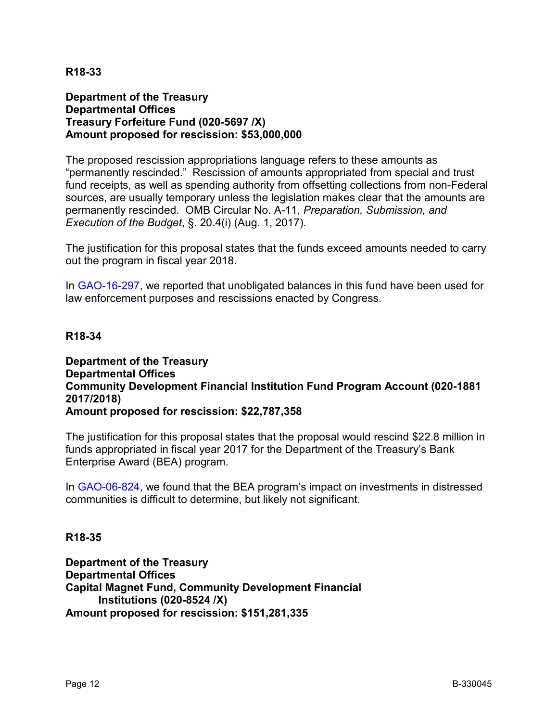### **Department of the Treasury Departmental Offices Treasury Forfeiture Fund (020-5697 /X) Amount proposed for rescission: \$53,000,000**

The proposed rescission appropriations language refers to these amounts as "permanently rescinded." Rescission of amounts appropriated from special and trust fund receipts, as well as spending authority from offsetting collections from non-Federal sources, are usually temporary unless the legislation makes clear that the amounts are permanently rescinded. OMB Circular No. A-11, *Preparation, Submission, and Execution of the Budget*, §. 20.4(i) (Aug. 1, 2017).

The justification for this proposal states that the funds exceed amounts needed to carry out the program in fiscal year 2018.

In [GAO-16-297,](https://www.gao.gov/assets/680/675987.pdf) we reported that unobligated balances in this fund have been used for law enforcement purposes and rescissions enacted by Congress.

## **R18-34**

### **Department of the Treasury Departmental Offices Community Development Financial Institution Fund Program Account (020-1881 2017/2018) Amount proposed for rescission: \$22,787,358**

The justification for this proposal states that the proposal would rescind \$22.8 million in funds appropriated in fiscal year 2017 for the Department of the Treasury's Bank Enterprise Award (BEA) program.

In [GAO-06-824,](https://www.gao.gov/assets/260/251009.pdf) we found that the BEA program's impact on investments in distressed communities is difficult to determine, but likely not significant.

#### **R18-35**

**Department of the Treasury Departmental Offices Capital Magnet Fund, Community Development Financial Institutions (020-8524 /X) Amount proposed for rescission: \$151,281,335**